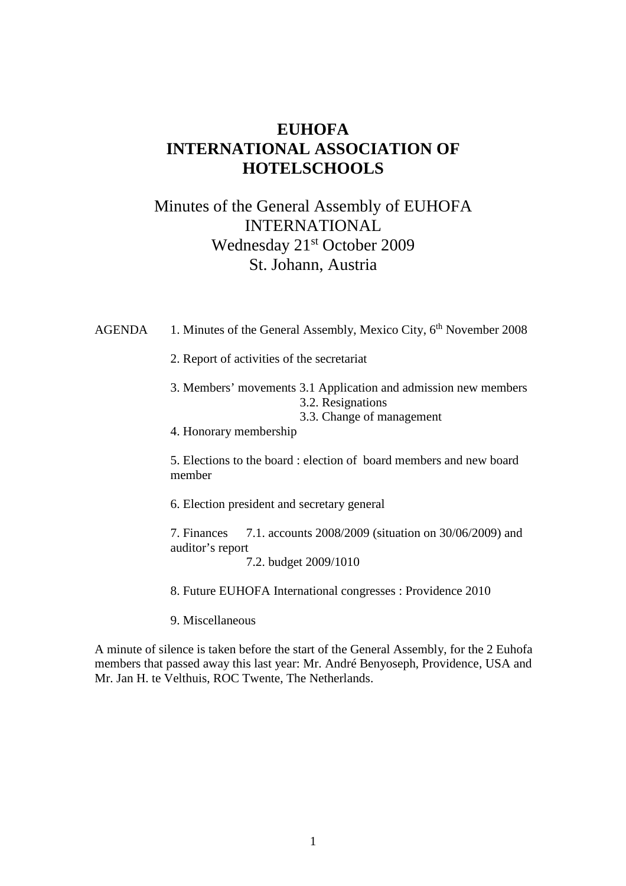# **EUHOFA INTERNATIONAL ASSOCIATION OF HOTELSCHOOLS**

# Minutes of the General Assembly of EUHOFA INTERNATIONAL Wednesday 21st October 2009 St. Johann, Austria

AGENDA 1. Minutes of the General Assembly, Mexico City, 6<sup>th</sup> November 2008 2. Report of activities of the secretariat 3. Members' movements 3.1 Application and admission new members 3.2. Resignations 3.3. Change of management 4. Honorary membership 5. Elections to the board : election of board members and new board member 6. Election president and secretary general 7. Finances 7.1. accounts 2008/2009 (situation on 30/06/2009) and auditor's report 7.2. budget 2009/1010

8. Future EUHOFA International congresses : Providence 2010

9. Miscellaneous

A minute of silence is taken before the start of the General Assembly, for the 2 Euhofa members that passed away this last year: Mr. André Benyoseph, Providence, USA and Mr. Jan H. te Velthuis, ROC Twente, The Netherlands.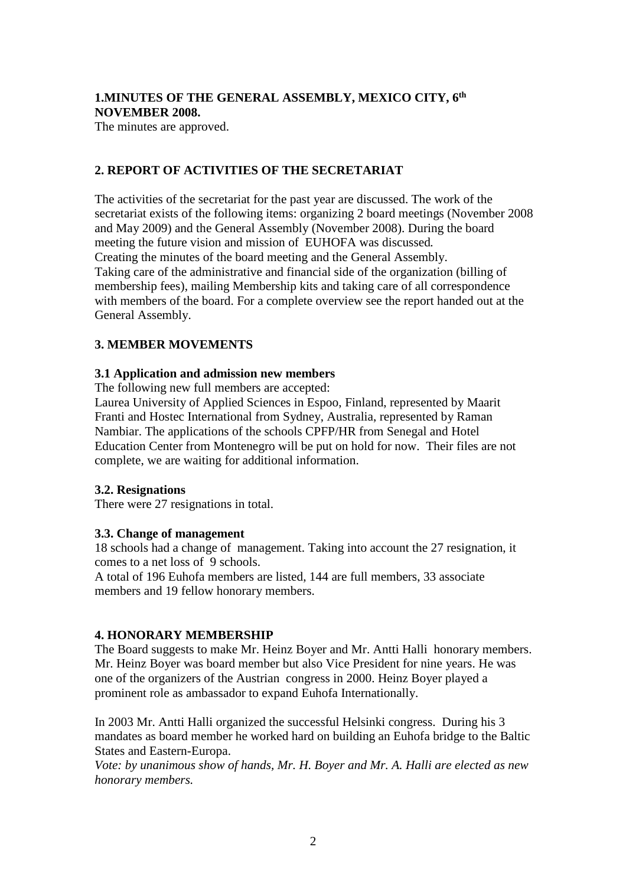## **1.MINUTES OF THE GENERAL ASSEMBLY, MEXICO CITY, 6th NOVEMBER 2008.**

The minutes are approved.

### **2. REPORT OF ACTIVITIES OF THE SECRETARIAT**

The activities of the secretariat for the past year are discussed. The work of the secretariat exists of the following items: organizing 2 board meetings (November 2008 and May 2009) and the General Assembly (November 2008). During the board meeting the future vision and mission of EUHOFA was discussed*.*  Creating the minutes of the board meeting and the General Assembly. Taking care of the administrative and financial side of the organization (billing of membership fees), mailing Membership kits and taking care of all correspondence with members of the board. For a complete overview see the report handed out at the General Assembly.

#### **3. MEMBER MOVEMENTS**

### **3.1 Application and admission new members**

The following new full members are accepted:

Laurea University of Applied Sciences in Espoo, Finland, represented by Maarit Franti and Hostec International from Sydney, Australia, represented by Raman Nambiar. The applications of the schools CPFP/HR from Senegal and Hotel Education Center from Montenegro will be put on hold for now. Their files are not complete, we are waiting for additional information.

#### **3.2. Resignations**

There were 27 resignations in total.

#### **3.3. Change of management**

18 schools had a change of management. Taking into account the 27 resignation, it comes to a net loss of 9 schools.

A total of 196 Euhofa members are listed, 144 are full members, 33 associate members and 19 fellow honorary members.

## **4. HONORARY MEMBERSHIP**

The Board suggests to make Mr. Heinz Boyer and Mr. Antti Halli honorary members. Mr. Heinz Boyer was board member but also Vice President for nine years. He was one of the organizers of the Austrian congress in 2000. Heinz Boyer played a prominent role as ambassador to expand Euhofa Internationally.

In 2003 Mr. Antti Halli organized the successful Helsinki congress. During his 3 mandates as board member he worked hard on building an Euhofa bridge to the Baltic States and Eastern-Europa.

*Vote: by unanimous show of hands, Mr. H. Boyer and Mr. A. Halli are elected as new honorary members.*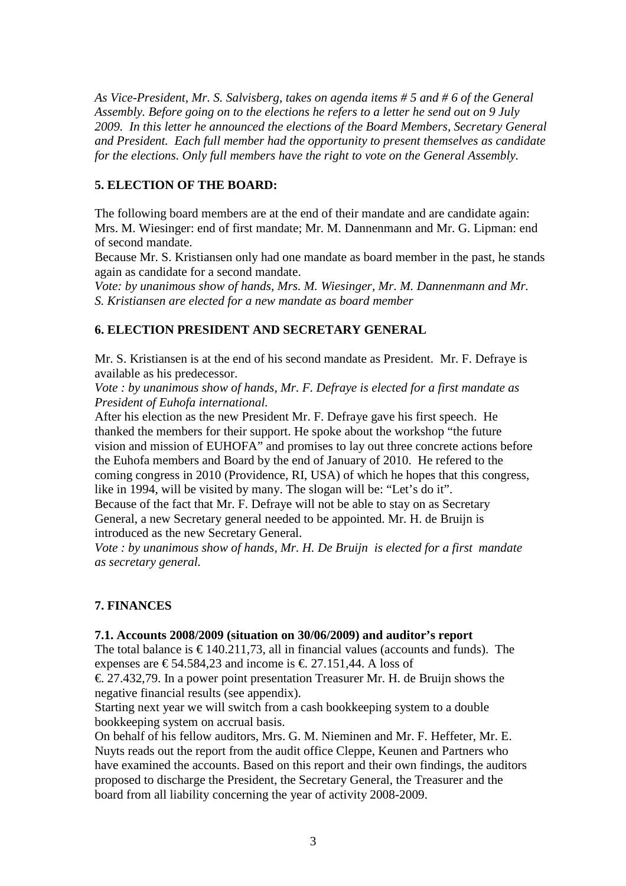*As Vice-President, Mr. S. Salvisberg, takes on agenda items # 5 and # 6 of the General Assembly. Before going on to the elections he refers to a letter he send out on 9 July 2009. In this letter he announced the elections of the Board Members, Secretary General and President. Each full member had the opportunity to present themselves as candidate for the elections. Only full members have the right to vote on the General Assembly.* 

## **5. ELECTION OF THE BOARD:**

The following board members are at the end of their mandate and are candidate again: Mrs. M. Wiesinger: end of first mandate; Mr. M. Dannenmann and Mr. G. Lipman: end of second mandate.

Because Mr. S. Kristiansen only had one mandate as board member in the past, he stands again as candidate for a second mandate.

*Vote: by unanimous show of hands, Mrs. M. Wiesinger, Mr. M. Dannenmann and Mr. S. Kristiansen are elected for a new mandate as board member* 

### **6. ELECTION PRESIDENT AND SECRETARY GENERAL**

Mr. S. Kristiansen is at the end of his second mandate as President. Mr. F. Defraye is available as his predecessor.

*Vote : by unanimous show of hands, Mr. F. Defraye is elected for a first mandate as President of Euhofa international.* 

After his election as the new President Mr. F. Defraye gave his first speech. He thanked the members for their support. He spoke about the workshop "the future vision and mission of EUHOFA" and promises to lay out three concrete actions before the Euhofa members and Board by the end of January of 2010. He refered to the coming congress in 2010 (Providence, RI, USA) of which he hopes that this congress, like in 1994, will be visited by many. The slogan will be: "Let's do it".

Because of the fact that Mr. F. Defraye will not be able to stay on as Secretary General, a new Secretary general needed to be appointed. Mr. H. de Bruijn is introduced as the new Secretary General.

*Vote : by unanimous show of hands, Mr. H. De Bruijn is elected for a first mandate as secretary general.* 

## **7. FINANCES**

#### **7.1. Accounts 2008/2009 (situation on 30/06/2009) and auditor's report**

The total balance is  $\epsilon$  140.211,73, all in financial values (accounts and funds). The expenses are  $\in$  54.584,23 and income is  $\in$ . 27.151,44A loss of

 $\epsilon$ . 27.432,79. In a power point presentation Treasurer Mr. H. de Bruijn shows the negative financial results (see appendix).

Starting next year we will switch from a cash bookkeeping system to a double bookkeeping system on accrual basis.

On behalf of his fellow auditors, Mrs. G. M. Nieminen and Mr. F. Heffeter, Mr. E. Nuyts reads out the report from the audit office Cleppe, Keunen and Partners who have examined the accounts. Based on this report and their own findings, the auditors proposed to discharge the President, the Secretary General, the Treasurer and the board from all liability concerning the year of activity 2008-2009.